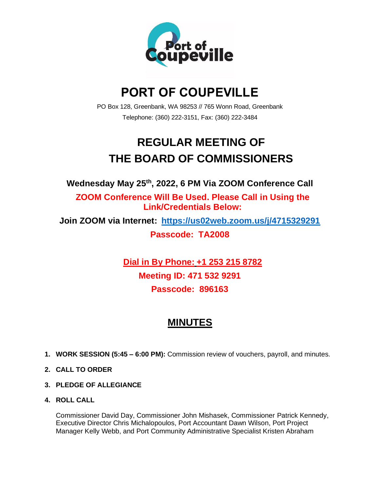

# **PORT OF COUPEVILLE**

PO Box 128, Greenbank, WA 98253 // 765 Wonn Road, Greenbank Telephone: (360) 222-3151, Fax: (360) 222-3484

# **REGULAR MEETING OF THE BOARD OF COMMISSIONERS**

**Wednesday May 25th , 2022, 6 PM Via ZOOM Conference Call**

**ZOOM Conference Will Be Used. Please Call in Using the Link/Credentials Below:**

**Join ZOOM via Internet: <https://us02web.zoom.us/j/4715329291> Passcode: TA2008**

> **Dial in By Phone: +1 253 215 8782 Meeting ID: 471 532 9291 Passcode: 896163**

# **MINUTES**

- **1. WORK SESSION (5:45 – 6:00 PM):** Commission review of vouchers, payroll, and minutes.
- **2. CALL TO ORDER**
- **3. PLEDGE OF ALLEGIANCE**
- **4. ROLL CALL**

Commissioner David Day, Commissioner John Mishasek, Commissioner Patrick Kennedy, Executive Director Chris Michalopoulos, Port Accountant Dawn Wilson, Port Project Manager Kelly Webb, and Port Community Administrative Specialist Kristen Abraham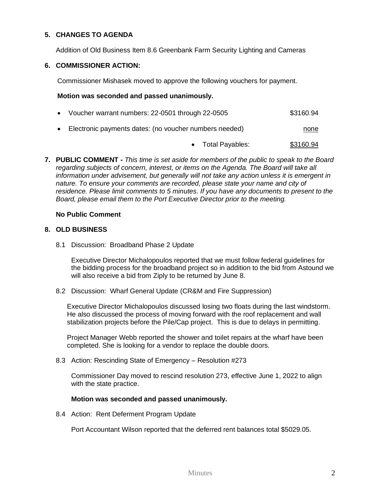### **5. CHANGES TO AGENDA**

Addition of Old Business Item 8.6 Greenbank Farm Security Lighting and Cameras

#### **6. COMMISSIONER ACTION:**

Commissioner Mishasek moved to approve the following vouchers for payment.

#### **Motion was seconded and passed unanimously.**

- Voucher warrant numbers: 22-0501 through 22-0505 \$3160.94
- Electronic payments dates: (no voucher numbers needed) none none

• Total Payables: \$3160.94

**7. PUBLIC COMMENT -** *This time is set aside for members of the public to speak to the Board regarding subjects of concern, interest, or items on the Agenda. The Board will take all information under advisement, but generally will not take any action unless it is emergent in nature. To ensure your comments are recorded, please state your name and city of residence. Please limit comments to 5 minutes. If you have any documents to present to the Board, please email them to the Port Executive Director prior to the meeting.*

### **No Public Comment**

### **8. OLD BUSINESS**

8.1 Discussion: Broadband Phase 2 Update

Executive Director Michalopoulos reported that we must follow federal guidelines for the bidding process for the broadband project so in addition to the bid from Astound we will also receive a bid from Ziply to be returned by June 8.

8.2 Discussion: Wharf General Update (CR&M and Fire Suppression)

Executive Director Michalopoulos discussed losing two floats during the last windstorm. He also discussed the process of moving forward with the roof replacement and wall stabilization projects before the Pile/Cap project. This is due to delays in permitting.

Project Manager Webb reported the shower and toilet repairs at the wharf have been completed. She is looking for a vendor to replace the double doors.

8.3 Action: Rescinding State of Emergency – Resolution #273

Commissioner Day moved to rescind resolution 273, effective June 1, 2022 to align with the state practice.

# **Motion was seconded and passed unanimously.**

8.4 Action: Rent Deferment Program Update

Port Accountant Wilson reported that the deferred rent balances total \$5029.05.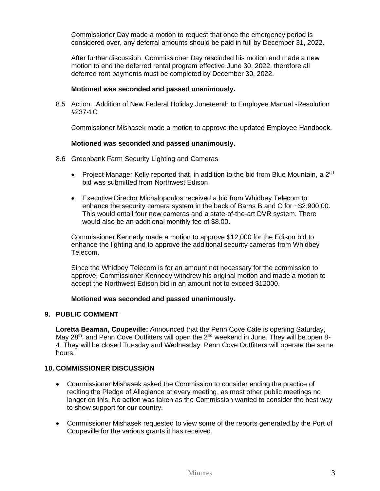Commissioner Day made a motion to request that once the emergency period is considered over, any deferral amounts should be paid in full by December 31, 2022.

After further discussion, Commissioner Day rescinded his motion and made a new motion to end the deferred rental program effective June 30, 2022, therefore all deferred rent payments must be completed by December 30, 2022.

#### **Motioned was seconded and passed unanimously.**

8.5 Action: Addition of New Federal Holiday Juneteenth to Employee Manual -Resolution #237-1C

Commissioner Mishasek made a motion to approve the updated Employee Handbook.

#### **Motioned was seconded and passed unanimously.**

- 8.6 Greenbank Farm Security Lighting and Cameras
	- Project Manager Kelly reported that, in addition to the bid from Blue Mountain, a  $2^{nd}$ bid was submitted from Northwest Edison.
	- Executive Director Michalopoulos received a bid from Whidbey Telecom to enhance the security camera system in the back of Barns B and C for ~\$2,900.00. This would entail four new cameras and a state-of-the-art DVR system. There would also be an additional monthly fee of \$8.00.

Commissioner Kennedy made a motion to approve \$12,000 for the Edison bid to enhance the lighting and to approve the additional security cameras from Whidbey Telecom.

Since the Whidbey Telecom is for an amount not necessary for the commission to approve, Commissioner Kennedy withdrew his original motion and made a motion to accept the Northwest Edison bid in an amount not to exceed \$12000.

#### **Motioned was seconded and passed unanimously.**

#### **9. PUBLIC COMMENT**

**Loretta Beaman, Coupeville:** Announced that the Penn Cove Cafe is opening Saturday, May 28<sup>th</sup>, and Penn Cove Outfitters will open the 2<sup>nd</sup> weekend in June. They will be open 8-4. They will be closed Tuesday and Wednesday. Penn Cove Outfitters will operate the same hours.

## **10. COMMISSIONER DISCUSSION**

- Commissioner Mishasek asked the Commission to consider ending the practice of reciting the Pledge of Allegiance at every meeting, as most other public meetings no longer do this. No action was taken as the Commission wanted to consider the best way to show support for our country.
- Commissioner Mishasek requested to view some of the reports generated by the Port of Coupeville for the various grants it has received.